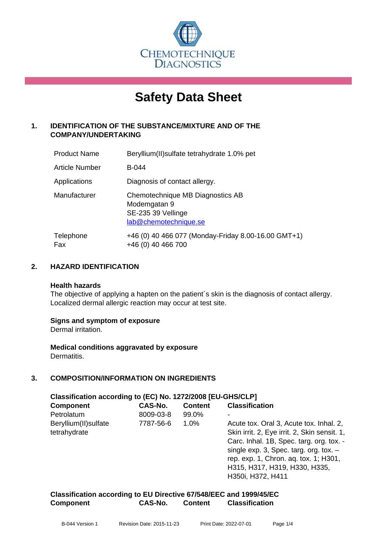

# **Safety Data Sheet**

#### **1. IDENTIFICATION OF THE SUBSTANCE/MIXTURE AND OF THE COMPANY/UNDERTAKING**

| <b>Product Name</b> | Beryllium(II) sulfate tetrahy drate 1.0% pet                                                    |
|---------------------|-------------------------------------------------------------------------------------------------|
| Article Number      | <b>B-044</b>                                                                                    |
| Applications        | Diagnosis of contact allergy.                                                                   |
| Manufacturer        | Chemotechnique MB Diagnostics AB<br>Modemgatan 9<br>SE-235 39 Vellinge<br>lab@chemotechnique.se |
| Telephone<br>Fax    | +46 (0) 40 466 077 (Monday-Friday 8.00-16.00 GMT+1)<br>+46 (0) 40 466 700                       |

#### **2. HAZARD IDENTIFICATION**

#### **Health hazards**

The objective of applying a hapten on the patient's skin is the diagnosis of contact allergy. Localized dermal allergic reaction may occur at test site.

#### **Signs and symptom of exposure**

Dermal irritation.

**Medical conditions aggravated by exposure** Dermatitis.

#### **3. COMPOSITION/INFORMATION ON INGREDIENTS**

| Classification according to (EC) No. 1272/2008 [EU-GHS/CLP] |           |                |                                              |  |
|-------------------------------------------------------------|-----------|----------------|----------------------------------------------|--|
| <b>Component</b>                                            | CAS-No.   | <b>Content</b> | <b>Classification</b>                        |  |
| Petrolatum                                                  | 8009-03-8 | 99.0%          |                                              |  |
| Beryllium(II) sulfate                                       | 7787-56-6 | 1.0%           | Acute tox. Oral 3, Acute tox. Inhal. 2,      |  |
| tetrahydrate                                                |           |                | Skin irrit. 2, Eye irrit. 2, Skin sensit. 1, |  |
|                                                             |           |                | Carc. Inhal. 1B, Spec. targ. org. tox. -     |  |
|                                                             |           |                | single $exp. 3$ , Spec. targ. org. tox. $-$  |  |
|                                                             |           |                | rep. exp. 1, Chron. aq. tox. 1; H301,        |  |
|                                                             |           |                | H315, H317, H319, H330, H335,                |  |
|                                                             |           |                | H350i, H372, H411                            |  |

**Classification according to EU Directive 67/548/EEC and 1999/45/EC Component CAS-No. Content Classification**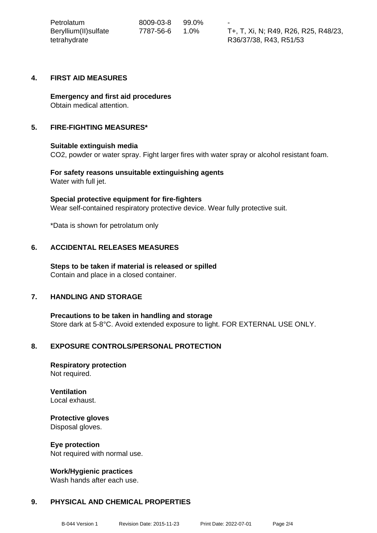| Petrolatum            | 8009-03-8 | 99.0%   | $\sim$                               |
|-----------------------|-----------|---------|--------------------------------------|
| Beryllium(II) sulfate | 7787-56-6 | $1.0\%$ | T+, T, Xi, N; R49, R26, R25, R48/23, |
| tetrahydrate          |           |         | R36/37/38, R43, R51/53               |

#### **4. FIRST AID MEASURES**

**Emergency and first aid procedures** Obtain medical attention.

#### **5. FIRE-FIGHTING MEASURES\***

#### **Suitable extinguish media**

CO2, powder or water spray. Fight larger fires with water spray or alcohol resistant foam.

**For safety reasons unsuitable extinguishing agents** Water with full jet.

**Special protective equipment for fire-fighters** Wear self-contained respiratory protective device. Wear fully protective suit.

\*Data is shown for petrolatum only

#### **6. ACCIDENTAL RELEASES MEASURES**

**Steps to be taken if material is released or spilled** Contain and place in a closed container.

#### **7. HANDLING AND STORAGE**

**Precautions to be taken in handling and storage** Store dark at 5-8°C. Avoid extended exposure to light. FOR EXTERNAL USE ONLY.

#### **8. EXPOSURE CONTROLS/PERSONAL PROTECTION**

**Respiratory protection** Not required.

## **Ventilation**

Local exhaust.

### **Protective gloves**

Disposal gloves.

#### **Eye protection**

Not required with normal use.

#### **Work/Hygienic practices**

Wash hands after each use.

#### **9. PHYSICAL AND CHEMICAL PROPERTIES**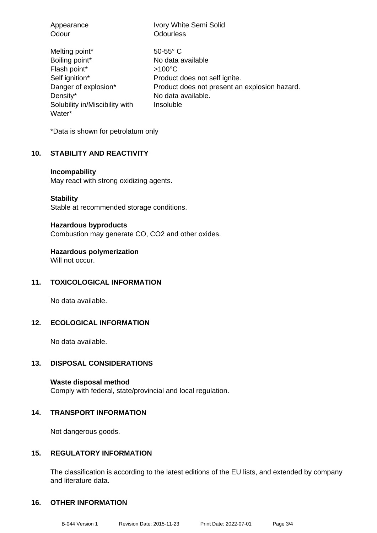| Appearance                                                                                                                                         | Ivory White Semi Solid                                                                                                                                                     |
|----------------------------------------------------------------------------------------------------------------------------------------------------|----------------------------------------------------------------------------------------------------------------------------------------------------------------------------|
| Odour                                                                                                                                              | <b>Odourless</b>                                                                                                                                                           |
| Melting point*<br>Boiling point*<br>Flash point*<br>Self ignition*<br>Danger of explosion*<br>Density*<br>Solubility in/Miscibility with<br>Water* | $50 - 55$ °C<br>No data available<br>$>100^{\circ}$ C<br>Product does not self ignite.<br>Product does not present an explosion hazard.<br>No data available.<br>Insoluble |

\*Data is shown for petrolatum only

#### **10. STABILITY AND REACTIVITY**

#### **Incompability**

May react with strong oxidizing agents.

**Stability**

Stable at recommended storage conditions.

#### **Hazardous byproducts**

Combustion may generate CO, CO2 and other oxides.

**Hazardous polymerization**

Will not occur.

#### **11. TOXICOLOGICAL INFORMATION**

No data available.

#### **12. ECOLOGICAL INFORMATION**

No data available.

#### **13. DISPOSAL CONSIDERATIONS**

**Waste disposal method** Comply with federal, state/provincial and local regulation.

#### **14. TRANSPORT INFORMATION**

Not dangerous goods.

#### **15. REGULATORY INFORMATION**

The classification is according to the latest editions of the EU lists, and extended by company and literature data.

#### **16. OTHER INFORMATION**